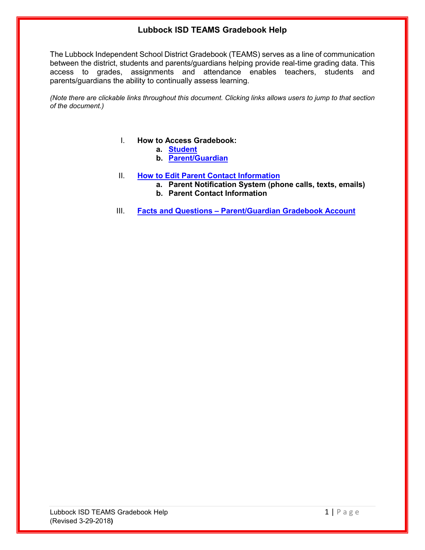# **Lubbock ISD TEAMS Gradebook Help**

The Lubbock Independent School District Gradebook (TEAMS) serves as a line of communication between the district, students and parents/guardians helping provide real-time grading data. This access to grades, assignments and attendance enables teachers, students and parents/guardians the ability to continually assess learning.

*(Note there are clickable links throughout this document. Clicking links allows users to jump to that section of the document.)*

## I. **How to Access Gradebook:**

- **a. [Student](#page-1-0)**
- **b. [Parent/Guardian](#page-2-0)**
- II. **[How to Edit Parent Contact Information](#page-4-0)**
	- **a. Parent Notification System (phone calls, texts, emails)**
	- **b. Parent Contact Information**
- III. **Facts and Questions – [Parent/Guardian Gradebook Account](#page-5-0)**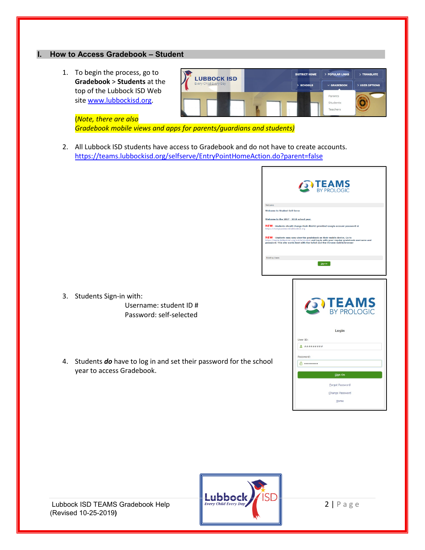## <span id="page-1-0"></span>**I. How to Access Gradebook – Student**

1. To begin the process, go to **Gradebook** > **Students** at the top of the Lubbock ISD Web site [www.lubbockisd.org.](http://www.lubbockisd.org/)



(*Note, there are also Gradebook mobile views and apps for parents/guardians and students)* 

2. All Lubbock ISD students have access to Gradebook and do not have to create accounts. <https://teams.lubbockisd.org/selfserve/EntryPointHomeAction.do?parent=false>

|                                         | <b>ON TEAMS</b>                                                                                                                                                                                                                                            |
|-----------------------------------------|------------------------------------------------------------------------------------------------------------------------------------------------------------------------------------------------------------------------------------------------------------|
| Welcome                                 |                                                                                                                                                                                                                                                            |
| <b>Welcome to Student Self Serve</b>    |                                                                                                                                                                                                                                                            |
| Welcome to the 2017 - 2018 school year. |                                                                                                                                                                                                                                                            |
| https://changepassword.lubbockisd.org   | NEW - Students should change their district provided Google account password at                                                                                                                                                                            |
|                                         | NEW - Students may now view the gradebook on their mobile device. Go to<br>https://teams.lubbockisd.org/mobile/student and log in with your regular gradebook username and<br>password. This site works best with the Safari and the Chrome mobile browser |
| <b>Existing Users</b>                   |                                                                                                                                                                                                                                                            |
|                                         | Sign-in                                                                                                                                                                                                                                                    |
| ol                                      | <b>TEAMS</b><br>Login<br>User ID:<br>Password:<br><b>A</b>                                                                                                                                                                                                 |
|                                         | Sign On                                                                                                                                                                                                                                                    |
|                                         | Forgot Password                                                                                                                                                                                                                                            |
|                                         | Change Password                                                                                                                                                                                                                                            |
|                                         | Home                                                                                                                                                                                                                                                       |
|                                         |                                                                                                                                                                                                                                                            |

- 3. Students Sign-in with: Username: student ID # Password: self-selected
- 4. Students **do** have to log in and set their password for the scho year to access Gradebook.



(Revised 10-25-2019**)**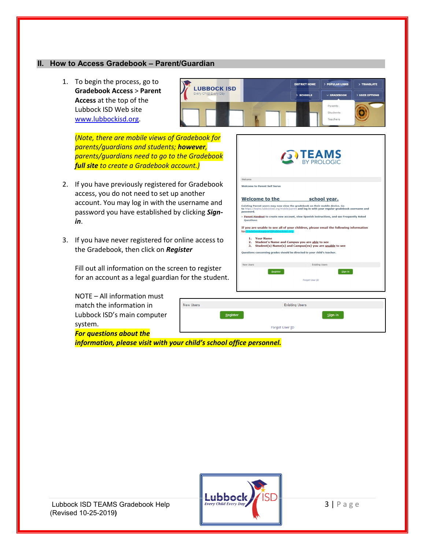#### <span id="page-2-0"></span>**II. How to Access Gradebook – Parent/Guardian**

1. To begin the process, go to **Gradebook Access** > **Parent Access** at the top of the Lubbock ISD Web site [www.lubbockisd.org.](http://www.lubbockisd.org/)



(*Note, there are mobile views of Gradebook for parents/guardians and students; however, parents/guardians need to go to the Gradebook full site to create a Gradebook account.)*

- 2. If you have previously registered for Gradebook access, you do not need to set up another account. You may log in with the username and password you have established by clicking *Signin*.
- 3. If you have never registered for online access to the Gradebook, then click on *Register*

Fill out all information on the screen to register for an account as a legal guardian for the student.

NOTE – All information must match the information in Lubbock ISD's main computer system.

*For questions about the* 

*information, please visit with your child's school office personnel.*

**New Users** 

 $Register$ 



**Existing Users** 

Forgot User ID

Sign-in

**TEAMS** 

| Every Child Every Day |  |
|-----------------------|--|

Lubbock ISD TEAMS Gradebook Help  $\begin{array}{c} \parallel \text{Every Child Every Day} \end{array}$   $\begin{array}{c} \parallel \text{3} \end{array}$  P a g e (Revised 10-25-2019**)**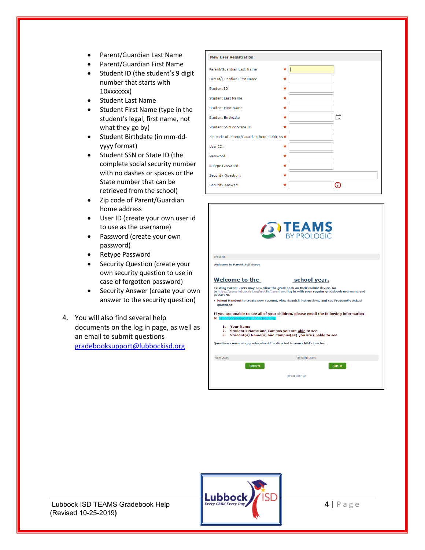- Parent/Guardian Last Name
- Parent/Guardian First Name
- Student ID (the student's 9 digit number that starts with 10xxxxxxx)
- Student Last Name
- Student First Name (type in the student's legal, first name, not what they go by)
- Student Birthdate (in mm-ddyyyy format)
- Student SSN or State ID (the complete social security number with no dashes or spaces or the State number that can be retrieved from the school)
- Zip code of Parent/Guardian home address
- User ID (create your own user id to use as the username)
- Password (create your own password)
- Retype Password
- Security Question (create your own security question to use in case of forgotten password)
- Security Answer (create your own answer to the security question)
- 4. You will also find several help documents on the log in page, as well as an email to submit questions [gradebooksupport@lubbockisd.org](mailto:gradebooksupport@lubbockisd.org)

| <b>New User Registration</b>               |   |   |
|--------------------------------------------|---|---|
| Parent/Guardian Last Name                  | ÷ |   |
| Parent/Guardian First Name                 | * |   |
| Student ID                                 | * |   |
| <b>Student Last Name</b>                   | * |   |
| <b>Student First Name</b>                  | * |   |
| <b>Student Birthdate</b>                   | * | 茼 |
| Student SSN or State ID                    | * |   |
| Zip code of Parent/Guardian home address ★ |   |   |
| User ID:                                   | ÷ |   |
| Password:                                  | * |   |
| Retype Password:                           | * |   |
| Security Question:                         | * |   |
| Security Answer:                           |   |   |

| school year.                                                                                                                                                                                                                                                                                                                                                                                                            |
|-------------------------------------------------------------------------------------------------------------------------------------------------------------------------------------------------------------------------------------------------------------------------------------------------------------------------------------------------------------------------------------------------------------------------|
| * Parent Handout to create new account, view Spanish instructions, and see Frequently Asked<br>If you are unable to see all of your children, please email the following information<br>to:Gradebooksupport@lubbockisd.org<br>2. Student's Name and Campus you are able to see<br>3. Student(s) Name(s) and Campus(es) you are unable to see<br>Questions concerning grades should be directed to your child's teacher. |
| <b>Existing Users</b>                                                                                                                                                                                                                                                                                                                                                                                                   |
|                                                                                                                                                                                                                                                                                                                                                                                                                         |
| Existing Parent users may now view the gradebook on their mobile device. Go<br>to https://teams.lubbockisd.org/mobile/parent and log in with your regular gradebook username and                                                                                                                                                                                                                                        |



(Revised 10-25-2019**)**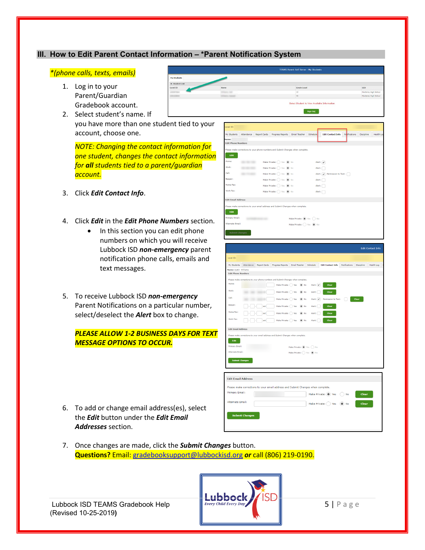## <span id="page-4-0"></span>**III. How to Edit Parent Contact Information – \*Parent Notification System**

#### *\*(phone calls, texts, emails)*

- 1. Log in to your Parent/Guardian Gradebook account.
- 2. Select student's name. If you have more than one student tied to your account, choose one.

*NOTE: Changing the contact information for one student, changes the contact information for all students tied to a parent/guardian account.*

- 3. Click *Edit Contact Info*.
- 4. Click *Edit* in the *Edit Phone Numbers* section.
	- In this section you can edit phone numbers on which you will receive Lubbock ISD *non-emergency* parent notification phone calls, emails and text messages.
- 5. To receive Lubbock ISD *non-emergency* Parent Notifications on a particular number, select/deselect the *Alert* box to change.

*PLEASE ALLOW 1-2 BUSINESS DAYS FOR TEXT MESSAGE OPTIONS TO OCCUR.*

6. To add or change email address(es), select the *Edit* button under the *Edit Email Addresses* section.





My Students Attendance Report Cards Progress Reports Email Teacher Schedule Edit Contact Info Notifications Discipline Health Log Edit P .<br>Please make cor work: cell:  $\begin{aligned} \mathbf{M} & \mathbf{A} \mathbf{R} \mathbf{P} \mathbf{P} \mathbf{P} \mathbf{P} \mathbf{P} \mathbf{P} \mathbf{P} \mathbf{P} \mathbf{P} \mathbf{P} \mathbf{P} \mathbf{P} \mathbf{P} \mathbf{P} \mathbf{P} \mathbf{P} \mathbf{P} \mathbf{P} \mathbf{P} \mathbf{P} \mathbf{P} \mathbf{P} \mathbf{P} \mathbf{P} \mathbf{P} \mathbf{P} \mathbf{P} \mathbf{P} \mathbf{P} \mathbf{P} \mathbf{P} \mathbf{P} \mathbf{$ ion to Text:  $\qquad \qquad \qquad \qquad \qquad \qquad \qquad \qquad \qquad \qquad \text{Clear} \qquad$ 

rt: **Clear** 

Alerti **Clear** 

Home Pax:  $\boxed{\phantom{a}}$  -  $\boxed{\phantom{a}}$  -  $\boxed{\phantom{a}}$  ext  $\boxed{\phantom{a}}$  Make Private:  $\boxed{\phantom{a}}$  Yes  $\phantom{a}$  (0) No

 $\text{Work Fax:}\qquad \fbox{\begin{picture}(150,15)(-8) \put(0,0){\line(1,0){10}} \put(15,0){\line(1,0){10}} \put(15,0){\line(1,0){10}} \put(15,0){\line(1,0){10}} \put(15,0){\line(1,0){10}} \put(15,0){\line(1,0){10}} \put(15,0){\line(1,0){10}} \put(15,0){\line(1,0){10}} \put(15,0){\line(1,0){10}} \put(15,0){\line(1,0){10}} \put(15,0){\line(1,0$ 

| Primary Email:            | Make Private: (0) Yes (2) No                                                    |
|---------------------------|---------------------------------------------------------------------------------|
| Alternate Fmail:          | Make Private: ( ) Yes ( ) No                                                    |
| <b>Submit Changes</b>     |                                                                                 |
|                           |                                                                                 |
|                           |                                                                                 |
| <b>Edit Email Address</b> |                                                                                 |
|                           |                                                                                 |
|                           |                                                                                 |
|                           | Please make corrections to your email address and Submit Changes when complete. |
|                           | Make Private: (a) Yes (b) No<br>Clear                                           |
| <b>Alternate Email:</b>   |                                                                                 |
|                           | Make Private: ( ) Yes ( ) No<br>Clear                                           |
| Primary Email:            |                                                                                 |

7. Once changes are made, click the *Submit Changes* button. **Questions?** Email[: gradebooksupport@lubbockisd.org](mailto:gradebooksupport@lubbockisd.org) *or* call (806) 219-0190.



Beeper:

**Edit Email Address** 

(Revised 10-25-2019**)**